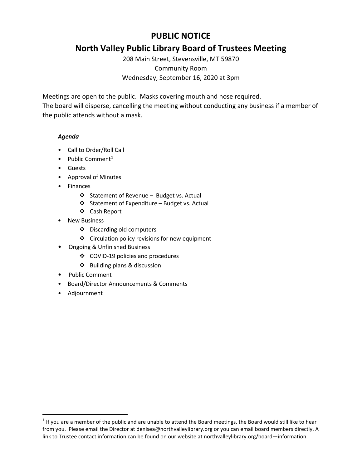# **PUBLIC NOTICE**

# **North Valley Public Library Board of Trustees Meeting**

208 Main Street, Stevensville, MT 59870 Community Room Wednesday, September 16, 2020 at 3pm

Meetings are open to the public. Masks covering mouth and nose required.

The board will disperse, cancelling the meeting without conducting any business if a member of the public attends without a mask.

## *Agenda*

- Call to Order/Roll Call
- Public Comment<sup>[1](#page-0-0)</sup>
- Guests
- Approval of Minutes
- Finances
	- Statement of Revenue Budget vs. Actual
	- $\triangleleft$  Statement of Expenditure Budget vs. Actual
	- Cash Report
- New Business
	- Discarding old computers
	- ❖ Circulation policy revisions for new equipment
- Ongoing & Unfinished Business
	- COVID-19 policies and procedures
	- $\triangle$  Building plans & discussion
- Public Comment
- Board/Director Announcements & Comments
- Adjournment

<span id="page-0-0"></span> $1$  If you are a member of the public and are unable to attend the Board meetings, the Board would still like to hear from you. Please email the Director at denisea@northvalleylibrary.org or you can email board members directly. A link to Trustee contact information can be found on our website at northvalleylibrary.org/board—information.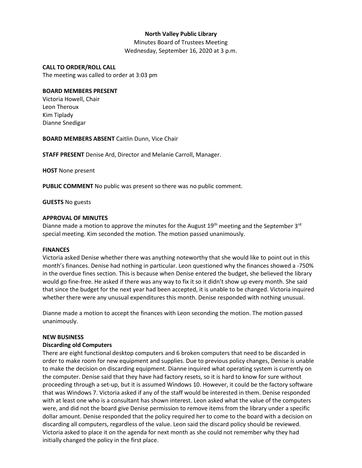## **North Valley Public Library**

Minutes Board of Trustees Meeting Wednesday, September 16, 2020 at 3 p.m.

#### **CALL TO ORDER/ROLL CALL**

The meeting was called to order at 3:03 pm

#### **BOARD MEMBERS PRESENT**

Victoria Howell, Chair Leon Theroux Kim Tiplady Dianne Snedigar

**BOARD MEMBERS ABSENT** Caitlin Dunn, Vice Chair

**STAFF PRESENT** Denise Ard, Director and Melanie Carroll, Manager.

**HOST** None present

**PUBLIC COMMENT** No public was present so there was no public comment.

**GUESTS** No guests

#### **APPROVAL OF MINUTES**

Dianne made a motion to approve the minutes for the August  $19<sup>th</sup>$  meeting and the September  $3<sup>rd</sup>$ special meeting. Kim seconded the motion. The motion passed unanimously.

#### **FINANCES**

Victoria asked Denise whether there was anything noteworthy that she would like to point out in this month's finances. Denise had nothing in particular. Leon questioned why the finances showed a -750% in the overdue fines section. This is because when Denise entered the budget, she believed the library would go fine-free. He asked if there was any way to fix it so it didn't show up every month. She said that since the budget for the next year had been accepted, it is unable to be changed. Victoria inquired whether there were any unusual expenditures this month. Denise responded with nothing unusual.

Dianne made a motion to accept the finances with Leon seconding the motion. The motion passed unanimously.

#### **NEW BUSINESS**

#### **Discarding old Computers**

There are eight functional desktop computers and 6 broken computers that need to be discarded in order to make room for new equipment and supplies. Due to previous policy changes, Denise is unable to make the decision on discarding equipment. Dianne inquired what operating system is currently on the computer. Denise said that they have had factory resets, so it is hard to know for sure without proceeding through a set-up, but it is assumed Windows 10. However, it could be the factory software that was Windows 7. Victoria asked if any of the staff would be interested in them. Denise responded with at least one who is a consultant has shown interest. Leon asked what the value of the computers were, and did not the board give Denise permission to remove items from the library under a specific dollar amount. Denise responded that the policy required her to come to the board with a decision on discarding all computers, regardless of the value. Leon said the discard policy should be reviewed. Victoria asked to place it on the agenda for next month as she could not remember why they had initially changed the policy in the first place.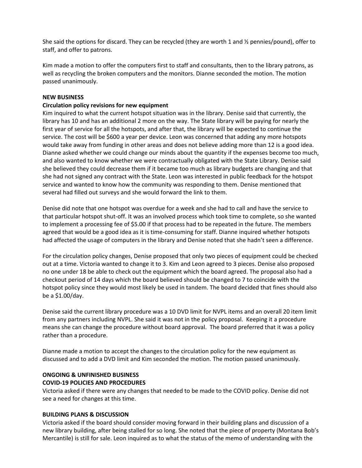She said the options for discard. They can be recycled (they are worth 1 and ½ pennies/pound), offer to staff, and offer to patrons.

Kim made a motion to offer the computers first to staff and consultants, then to the library patrons, as well as recycling the broken computers and the monitors. Dianne seconded the motion. The motion passed unanimously.

## **NEW BUSINESS**

#### **Circulation policy revisions for new equipment**

Kim inquired to what the current hotspot situation was in the library. Denise said that currently, the library has 10 and has an additional 2 more on the way. The State library will be paying for nearly the first year of service for all the hotspots, and after that, the library will be expected to continue the service. The cost will be \$600 a year per device. Leon was concerned that adding any more hotspots would take away from funding in other areas and does not believe adding more than 12 is a good idea. Dianne asked whether we could change our minds about the quantity if the expenses become too much, and also wanted to know whether we were contractually obligated with the State Library. Denise said she believed they could decrease them if it became too much as library budgets are changing and that she had not signed any contract with the State. Leon was interested in public feedback for the hotspot service and wanted to know how the community was responding to them. Denise mentioned that several had filled out surveys and she would forward the link to them.

Denise did note that one hotspot was overdue for a week and she had to call and have the service to that particular hotspot shut-off. It was an involved process which took time to complete, so she wanted to implement a processing fee of \$5.00 if that process had to be repeated in the future. The members agreed that would be a good idea as it is time-consuming for staff. Dianne inquired whether hotspots had affected the usage of computers in the library and Denise noted that she hadn't seen a difference.

For the circulation policy changes, Denise proposed that only two pieces of equipment could be checked out at a time. Victoria wanted to change it to 3. Kim and Leon agreed to 3 pieces. Denise also proposed no one under 18 be able to check out the equipment which the board agreed. The proposal also had a checkout period of 14 days which the board believed should be changed to 7 to coincide with the hotspot policy since they would most likely be used in tandem. The board decided that fines should also be a \$1.00/day.

Denise said the current library procedure was a 10 DVD limit for NVPL items and an overall 20 item limit from any partners including NVPL. She said it was not in the policy proposal. Keeping it a procedure means she can change the procedure without board approval. The board preferred that it was a policy rather than a procedure.

Dianne made a motion to accept the changes to the circulation policy for the new equipment as discussed and to add a DVD limit and Kim seconded the motion. The motion passed unanimously.

#### **ONGOING & UNFINISHED BUSINESS**

## **COVID-19 POLICIES AND PROCEDURES**

Victoria asked if there were any changes that needed to be made to the COVID policy. Denise did not see a need for changes at this time.

#### **BUILDING PLANS & DISCUSSION**

Victoria asked if the board should consider moving forward in their building plans and discussion of a new library building, after being stalled for so long. She noted that the piece of property (Montana Bob's Mercantile) is still for sale. Leon inquired as to what the status of the memo of understanding with the